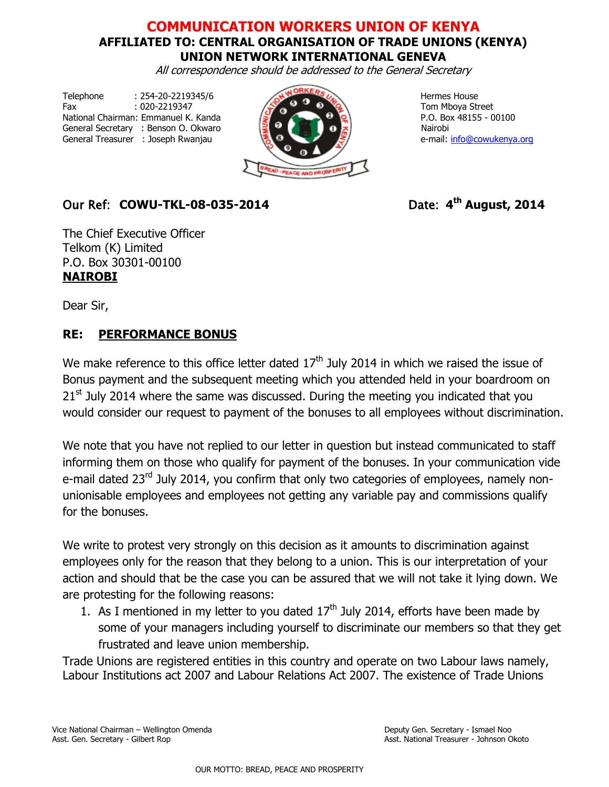## **COMMUNICATION WORKERS UNION OF KENYA AFFILIATED TO: CENTRAL ORGANISATION OF TRADE UNIONS (KENYA) UNION NETWORK INTERNATIONAL GENEVA**

All correspondence should be addressed to the General Secretary

Telephone : 254-20-2219345/6 Hermes House Fax  $: 020-2219347$   $\rightarrow 0$   $\rightarrow 0$  Tom Mboya Street National Chairman: Emmanuel K. Kanda  $\sqrt{2}$  P.O. Box 48155 - 00100 General Secretary : Benson O. Okwaro National National National National National National National National N General Treasurer : Joseph Rwanjau **e-mail: [info@cowukenya.org](mailto:info@cowukenya.org)** 



## $Our Ref: COWU-TKL-08-035-2014$

Date:  $4^{\text{th}}$  **August, 2014** 

The Chief Executive Officer Telkom (K) Limited P.O. Box 30301-00100 **NAIROBI**

Dear Sir,

## **RE: PERFORMANCE BONUS**

We make reference to this office letter dated  $17<sup>th</sup>$  July 2014 in which we raised the issue of Bonus payment and the subsequent meeting which you attended held in your boardroom on  $21<sup>st</sup>$  July 2014 where the same was discussed. During the meeting you indicated that you would consider our request to payment of the bonuses to all employees without discrimination.

We note that you have not replied to our letter in question but instead communicated to staff informing them on those who qualify for payment of the bonuses. In your communication vide e-mail dated 23<sup>rd</sup> July 2014, you confirm that only two categories of employees, namely nonunionisable employees and employees not getting any variable pay and commissions qualify for the bonuses.

We write to protest very strongly on this decision as it amounts to discrimination against employees only for the reason that they belong to a union. This is our interpretation of your action and should that be the case you can be assured that we will not take it lying down. We are protesting for the following reasons:

1. As I mentioned in my letter to you dated  $17<sup>th</sup>$  July 2014, efforts have been made by some of your managers including yourself to discriminate our members so that they get frustrated and leave union membership.

Trade Unions are registered entities in this country and operate on two Labour laws namely, Labour Institutions act 2007 and Labour Relations Act 2007. The existence of Trade Unions